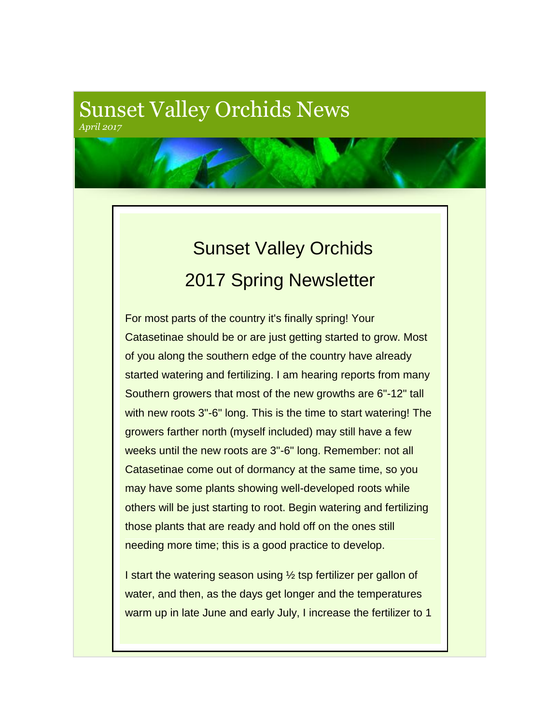## Sunset Valley Orchids News *April 2017*

## Sunset Valley Orchids 2017 Spring Newsletter

For most parts of the country it's finally spring! Your Catasetinae should be or are just getting started to grow. Most of you along the southern edge of the country have already started watering and fertilizing. I am hearing reports from many Southern growers that most of the new growths are 6"-12" tall with new roots 3"-6" long. This is the time to start watering! The growers farther north (myself included) may still have a few weeks until the new roots are 3"-6" long. Remember: not all Catasetinae come out of dormancy at the same time, so you may have some plants showing well-developed roots while others will be just starting to root. Begin watering and fertilizing those plants that are ready and hold off on the ones still needing more time; this is a good practice to develop.

I start the watering season using 1/2 tsp fertilizer per gallon of water, and then, as the days get longer and the temperatures warm up in late June and early July, I increase the fertilizer to 1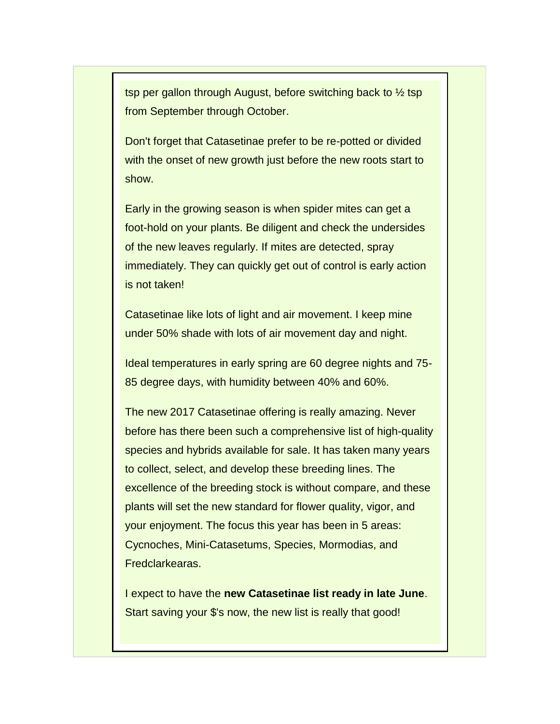tsp per gallon through August, before switching back to  $\frac{1}{2}$  tsp from September through October.

Don't forget that Catasetinae prefer to be re-potted or divided with the onset of new growth just before the new roots start to show.

Early in the growing season is when spider mites can get a foot-hold on your plants. Be diligent and check the undersides of the new leaves regularly. If mites are detected, spray immediately. They can quickly get out of control is early action is not taken!

Catasetinae like lots of light and air movement. I keep mine under 50% shade with lots of air movement day and night.

Ideal temperatures in early spring are 60 degree nights and 75- 85 degree days, with humidity between 40% and 60%.

The new 2017 Catasetinae offering is really amazing. Never before has there been such a comprehensive list of high-quality species and hybrids available for sale. It has taken many years to collect, select, and develop these breeding lines. The excellence of the breeding stock is without compare, and these plants will set the new standard for flower quality, vigor, and your enjoyment. The focus this year has been in 5 areas: Cycnoches, Mini-Catasetums, Species, Mormodias, and Fredclarkearas.

I expect to have the **new Catasetinae list ready in late June**. Start saving your \$'s now, the new list is really that good!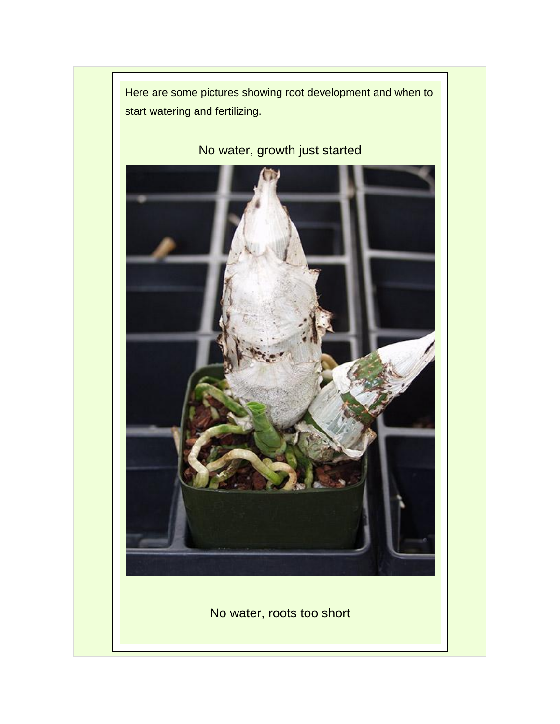

No water, growth just started



No water, roots too short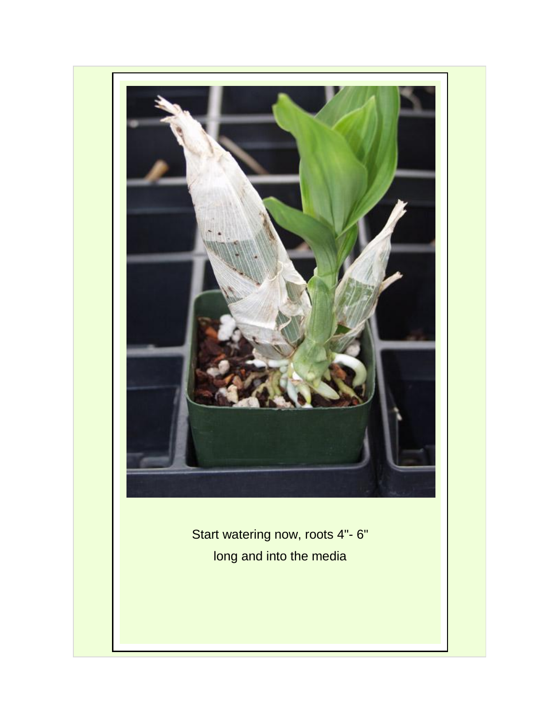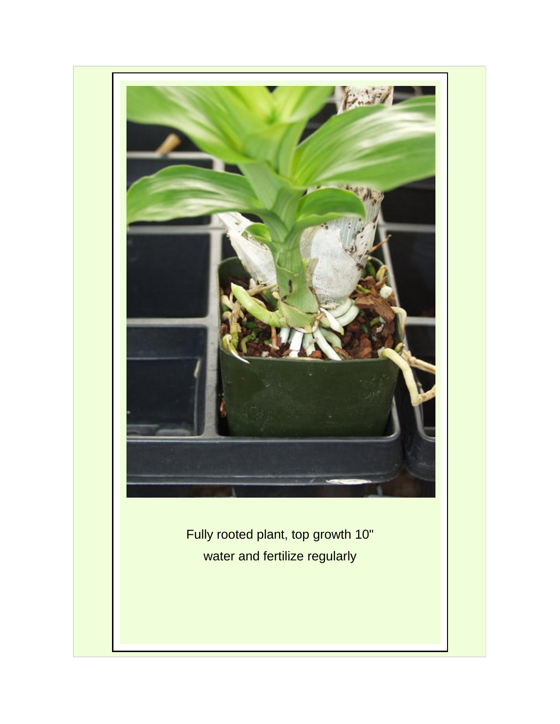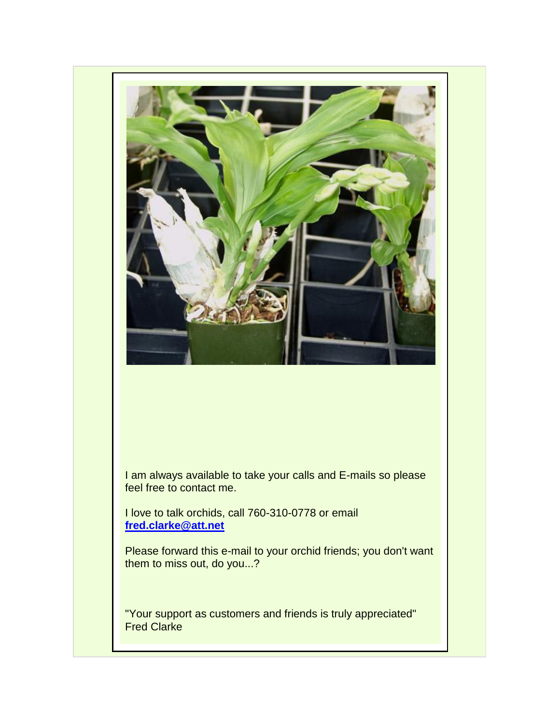

I am always available to take your calls and E-mails so please feel free to contact me.

I love to talk orchids, call 760-310-0778 or email **[fred.clarke@att.net](mailto:fred.clarke@att.net)**

Please forward this e-mail to your orchid friends; you don't want them to miss out, do you...?

"Your support as customers and friends is truly appreciated" Fred Clarke